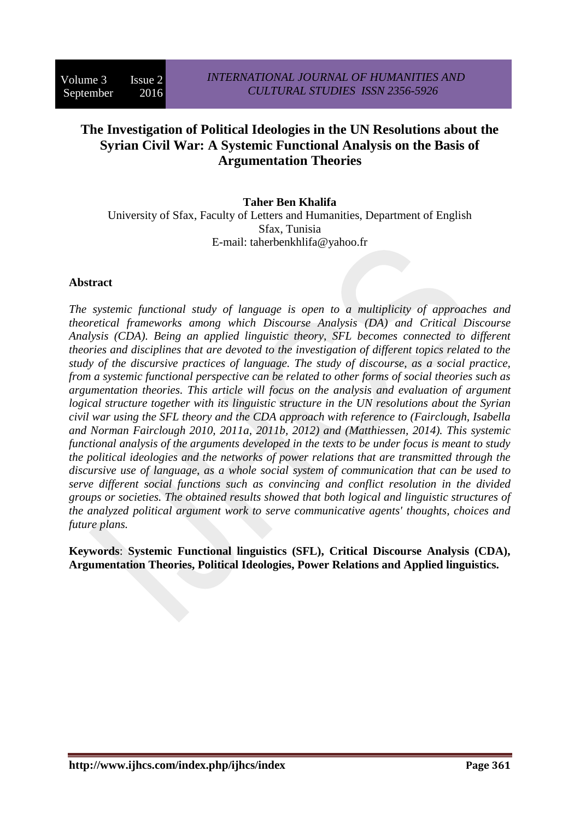# **The Investigation of Political Ideologies in the UN Resolutions about the Syrian Civil War: A Systemic Functional Analysis on the Basis of Argumentation Theories**

#### **Taher Ben Khalifa**

University of Sfax, Faculty of Letters and Humanities, Department of English Sfax, Tunisia E-mail: taherbenkhlifa@yahoo.fr

#### **Abstract**

*The systemic functional study of language is open to a multiplicity of approaches and theoretical frameworks among which Discourse Analysis (DA) and Critical Discourse Analysis (CDA). Being an applied linguistic theory, SFL becomes connected to different theories and disciplines that are devoted to the investigation of different topics related to the study of the discursive practices of language. The study of discourse, as a social practice, from a systemic functional perspective can be related to other forms of social theories such as argumentation theories. This article will focus on the analysis and evaluation of argument logical structure together with its linguistic structure in the UN resolutions about the Syrian civil war using the SFL theory and the CDA approach with reference to (Fairclough, Isabella and Norman Fairclough 2010, 2011a, 2011b, 2012) and (Matthiessen, 2014). This systemic functional analysis of the arguments developed in the texts to be under focus is meant to study the political ideologies and the networks of power relations that are transmitted through the discursive use of language, as a whole social system of communication that can be used to serve different social functions such as convincing and conflict resolution in the divided groups or societies. The obtained results showed that both logical and linguistic structures of the analyzed political argument work to serve communicative agents' thoughts, choices and future plans.*

**Keywords**: **Systemic Functional linguistics (SFL), Critical Discourse Analysis (CDA), Argumentation Theories, Political Ideologies, Power Relations and Applied linguistics.**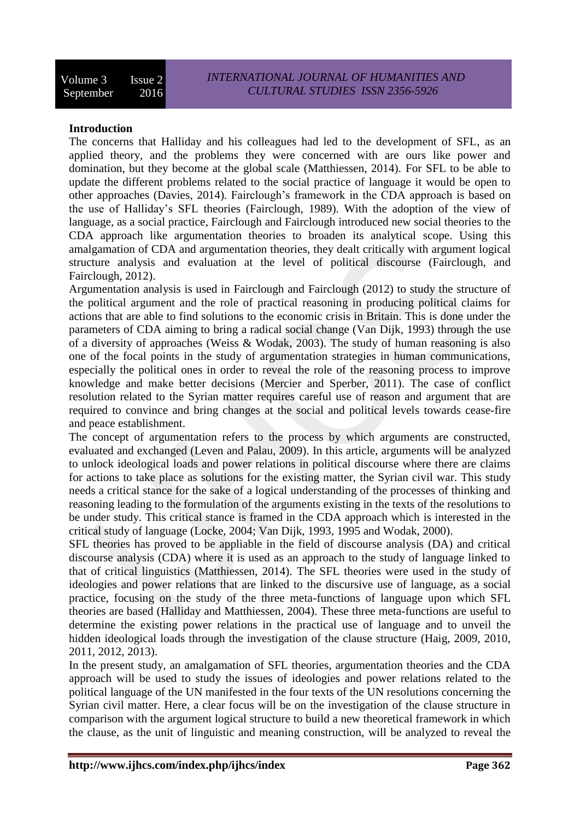### **Introduction**

The concerns that Halliday and his colleagues had led to the development of SFL, as an applied theory, and the problems they were concerned with are ours like power and domination, but they become at the global scale (Matthiessen, 2014). For SFL to be able to update the different problems related to the social practice of language it would be open to other approaches (Davies, 2014). Fairclough's framework in the CDA approach is based on the use of Halliday's SFL theories (Fairclough, 1989). With the adoption of the view of language, as a social practice, Fairclough and Fairclough introduced new social theories to the CDA approach like argumentation theories to broaden its analytical scope. Using this amalgamation of CDA and argumentation theories, they dealt critically with argument logical structure analysis and evaluation at the level of political discourse (Fairclough, and Fairclough, 2012).

Argumentation analysis is used in Fairclough and Fairclough (2012) to study the structure of the political argument and the role of practical reasoning in producing political claims for actions that are able to find solutions to the economic crisis in Britain. This is done under the parameters of CDA aiming to bring a radical social change (Van Dijk, 1993) through the use of a diversity of approaches (Weiss & Wodak, 2003). The study of human reasoning is also one of the focal points in the study of argumentation strategies in human communications, especially the political ones in order to reveal the role of the reasoning process to improve knowledge and make better decisions (Mercier and Sperber, 2011). The case of conflict resolution related to the Syrian matter requires careful use of reason and argument that are required to convince and bring changes at the social and political levels towards cease-fire and peace establishment.

The concept of argumentation refers to the process by which arguments are constructed, evaluated and exchanged (Leven and Palau, 2009). In this article, arguments will be analyzed to unlock ideological loads and power relations in political discourse where there are claims for actions to take place as solutions for the existing matter, the Syrian civil war. This study needs a critical stance for the sake of a logical understanding of the processes of thinking and reasoning leading to the formulation of the arguments existing in the texts of the resolutions to be under study. This critical stance is framed in the CDA approach which is interested in the critical study of language (Locke, 2004; Van Dijk, 1993, 1995 and Wodak, 2000).

SFL theories has proved to be appliable in the field of discourse analysis (DA) and critical discourse analysis (CDA) where it is used as an approach to the study of language linked to that of critical linguistics (Matthiessen, 2014). The SFL theories were used in the study of ideologies and power relations that are linked to the discursive use of language, as a social practice, focusing on the study of the three meta-functions of language upon which SFL theories are based (Halliday and Matthiessen, 2004). These three meta-functions are useful to determine the existing power relations in the practical use of language and to unveil the hidden ideological loads through the investigation of the clause structure (Haig, 2009, 2010, 2011, 2012, 2013).

In the present study, an amalgamation of SFL theories, argumentation theories and the CDA approach will be used to study the issues of ideologies and power relations related to the political language of the UN manifested in the four texts of the UN resolutions concerning the Syrian civil matter. Here, a clear focus will be on the investigation of the clause structure in comparison with the argument logical structure to build a new theoretical framework in which the clause, as the unit of linguistic and meaning construction, will be analyzed to reveal the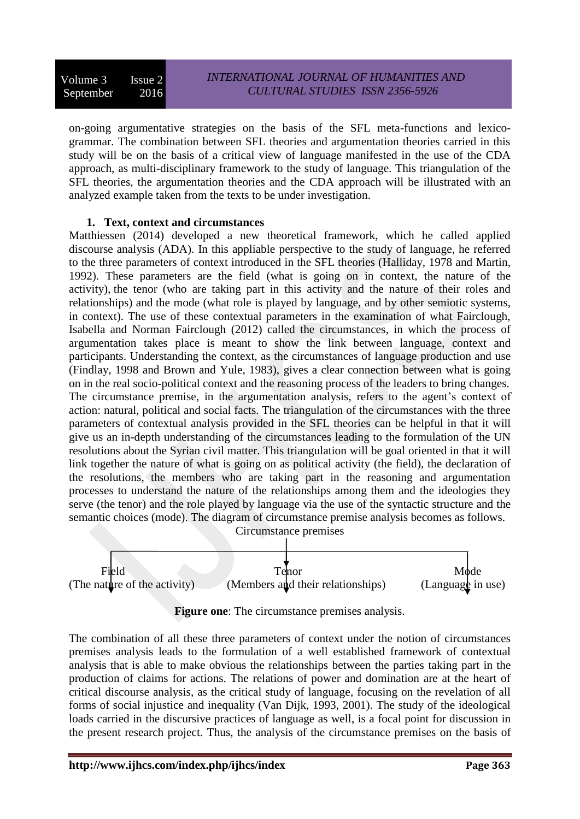on-going argumentative strategies on the basis of the SFL meta-functions and lexicogrammar. The combination between SFL theories and argumentation theories carried in this study will be on the basis of a critical view of language manifested in the use of the CDA approach, as multi-disciplinary framework to the study of language. This triangulation of the SFL theories, the argumentation theories and the CDA approach will be illustrated with an analyzed example taken from the texts to be under investigation.

#### **1. Text, context and circumstances**

Matthiessen (2014) developed a new theoretical framework, which he called applied discourse analysis (ADA). In this appliable perspective to the study of language, he referred to the three parameters of context introduced in the SFL theories (Halliday, 1978 and Martin, 1992). These parameters are the field (what is going on in context, the nature of the activity), the tenor (who are taking part in this activity and the nature of their roles and relationships) and the mode (what role is played by language, and by other semiotic systems, in context). The use of these contextual parameters in the examination of what Fairclough, Isabella and Norman Fairclough (2012) called the circumstances, in which the process of argumentation takes place is meant to show the link between language, context and participants. Understanding the context, as the circumstances of language production and use (Findlay, 1998 and Brown and Yule, 1983), gives a clear connection between what is going on in the real socio-political context and the reasoning process of the leaders to bring changes. The circumstance premise, in the argumentation analysis, refers to the agent's context of action: natural, political and social facts. The triangulation of the circumstances with the three parameters of contextual analysis provided in the SFL theories can be helpful in that it will give us an in-depth understanding of the circumstances leading to the formulation of the UN resolutions about the Syrian civil matter. This triangulation will be goal oriented in that it will link together the nature of what is going on as political activity (the field), the declaration of the resolutions, the members who are taking part in the reasoning and argumentation processes to understand the nature of the relationships among them and the ideologies they serve (the tenor) and the role played by language via the use of the syntactic structure and the semantic choices (mode). The diagram of circumstance premise analysis becomes as follows. Circumstance premises



**Figure one**: The circumstance premises analysis.

The combination of all these three parameters of context under the notion of circumstances premises analysis leads to the formulation of a well established framework of contextual analysis that is able to make obvious the relationships between the parties taking part in the production of claims for actions. The relations of power and domination are at the heart of critical discourse analysis, as the critical study of language, focusing on the revelation of all forms of social injustice and inequality (Van Dijk, 1993, 2001). The study of the ideological loads carried in the discursive practices of language as well, is a focal point for discussion in the present research project. Thus, the analysis of the circumstance premises on the basis of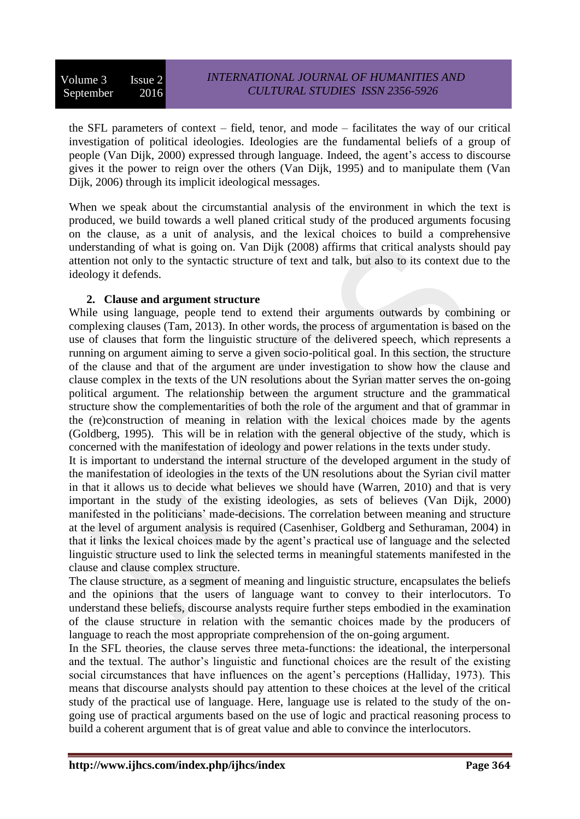the SFL parameters of context – field, tenor, and mode – facilitates the way of our critical investigation of political ideologies. Ideologies are the fundamental beliefs of a group of people (Van Dijk, 2000) expressed through language. Indeed, the agent's access to discourse gives it the power to reign over the others (Van Dijk, 1995) and to manipulate them (Van Dijk, 2006) through its implicit ideological messages.

When we speak about the circumstantial analysis of the environment in which the text is produced, we build towards a well planed critical study of the produced arguments focusing on the clause, as a unit of analysis, and the lexical choices to build a comprehensive understanding of what is going on. Van Dijk (2008) affirms that critical analysts should pay attention not only to the syntactic structure of text and talk, but also to its context due to the ideology it defends.

#### **2. Clause and argument structure**

While using language, people tend to extend their arguments outwards by combining or complexing clauses (Tam, 2013). In other words, the process of argumentation is based on the use of clauses that form the linguistic structure of the delivered speech, which represents a running on argument aiming to serve a given socio-political goal. In this section, the structure of the clause and that of the argument are under investigation to show how the clause and clause complex in the texts of the UN resolutions about the Syrian matter serves the on-going political argument. The relationship between the argument structure and the grammatical structure show the complementarities of both the role of the argument and that of grammar in the (re)construction of meaning in relation with the lexical choices made by the agents (Goldberg, 1995). This will be in relation with the general objective of the study, which is concerned with the manifestation of ideology and power relations in the texts under study.

It is important to understand the internal structure of the developed argument in the study of the manifestation of ideologies in the texts of the UN resolutions about the Syrian civil matter in that it allows us to decide what believes we should have (Warren, 2010) and that is very important in the study of the existing ideologies, as sets of believes (Van Dijk, 2000) manifested in the politicians' made-decisions. The correlation between meaning and structure at the level of argument analysis is required (Casenhiser, Goldberg and Sethuraman, 2004) in that it links the lexical choices made by the agent's practical use of language and the selected linguistic structure used to link the selected terms in meaningful statements manifested in the clause and clause complex structure.

The clause structure, as a segment of meaning and linguistic structure, encapsulates the beliefs and the opinions that the users of language want to convey to their interlocutors. To understand these beliefs, discourse analysts require further steps embodied in the examination of the clause structure in relation with the semantic choices made by the producers of language to reach the most appropriate comprehension of the on-going argument.

In the SFL theories, the clause serves three meta-functions: the ideational, the interpersonal and the textual. The author's linguistic and functional choices are the result of the existing social circumstances that have influences on the agent's perceptions (Halliday, 1973). This means that discourse analysts should pay attention to these choices at the level of the critical study of the practical use of language. Here, language use is related to the study of the ongoing use of practical arguments based on the use of logic and practical reasoning process to build a coherent argument that is of great value and able to convince the interlocutors.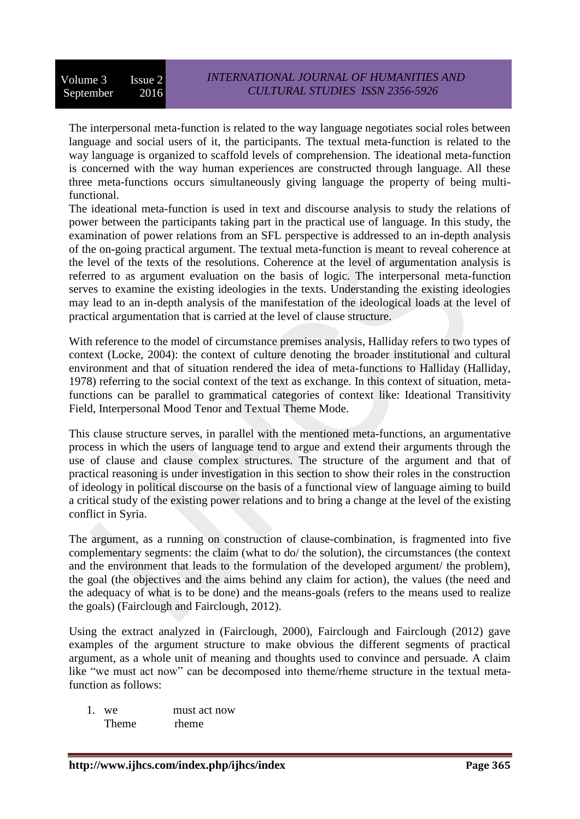The interpersonal meta-function is related to the way language negotiates social roles between language and social users of it, the participants. The textual meta-function is related to the way language is organized to scaffold levels of comprehension. The ideational meta-function is concerned with the way human experiences are constructed through language. All these three meta-functions occurs simultaneously giving language the property of being multifunctional.

The ideational meta-function is used in text and discourse analysis to study the relations of power between the participants taking part in the practical use of language. In this study, the examination of power relations from an SFL perspective is addressed to an in-depth analysis of the on-going practical argument. The textual meta-function is meant to reveal coherence at the level of the texts of the resolutions. Coherence at the level of argumentation analysis is referred to as argument evaluation on the basis of logic. The interpersonal meta-function serves to examine the existing ideologies in the texts. Understanding the existing ideologies may lead to an in-depth analysis of the manifestation of the ideological loads at the level of practical argumentation that is carried at the level of clause structure.

With reference to the model of circumstance premises analysis, Halliday refers to two types of context (Locke, 2004): the context of culture denoting the broader institutional and cultural environment and that of situation rendered the idea of meta-functions to Halliday (Halliday, 1978) referring to the social context of the text as exchange. In this context of situation, metafunctions can be parallel to grammatical categories of context like: Ideational Transitivity Field, Interpersonal Mood Tenor and Textual Theme Mode.

This clause structure serves, in parallel with the mentioned meta-functions, an argumentative process in which the users of language tend to argue and extend their arguments through the use of clause and clause complex structures. The structure of the argument and that of practical reasoning is under investigation in this section to show their roles in the construction of ideology in political discourse on the basis of a functional view of language aiming to build a critical study of the existing power relations and to bring a change at the level of the existing conflict in Syria.

The argument, as a running on construction of clause-combination, is fragmented into five complementary segments: the claim (what to do/ the solution), the circumstances (the context and the environment that leads to the formulation of the developed argument/ the problem), the goal (the objectives and the aims behind any claim for action), the values (the need and the adequacy of what is to be done) and the means-goals (refers to the means used to realize the goals) (Fairclough and Fairclough, 2012).

Using the extract analyzed in (Fairclough, 2000), Fairclough and Fairclough (2012) gave examples of the argument structure to make obvious the different segments of practical argument, as a whole unit of meaning and thoughts used to convince and persuade. A claim like "we must act now" can be decomposed into theme/rheme structure in the textual metafunction as follows:

1. we must act now Theme rheme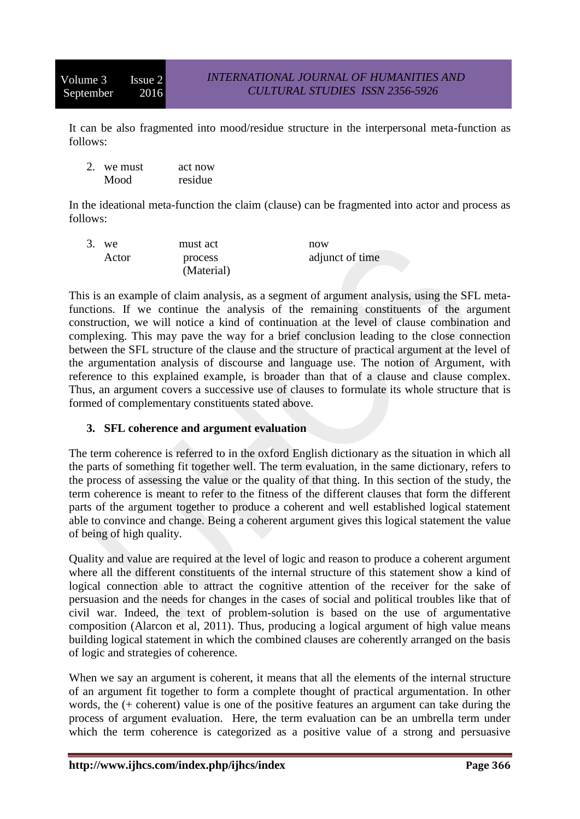It can be also fragmented into mood/residue structure in the interpersonal meta-function as follows:

| we must | act now |
|---------|---------|
| Mood    | residue |

In the ideational meta-function the claim (clause) can be fragmented into actor and process as follows:

| $3.$ we | must act   | now             |
|---------|------------|-----------------|
| Actor   | process    | adjunct of time |
|         | (Material) |                 |

This is an example of claim analysis, as a segment of argument analysis, using the SFL metafunctions. If we continue the analysis of the remaining constituents of the argument construction, we will notice a kind of continuation at the level of clause combination and complexing. This may pave the way for a brief conclusion leading to the close connection between the SFL structure of the clause and the structure of practical argument at the level of the argumentation analysis of discourse and language use. The notion of Argument, with reference to this explained example, is broader than that of a clause and clause complex. Thus, an argument covers a successive use of clauses to formulate its whole structure that is formed of complementary constituents stated above.

# **3. SFL coherence and argument evaluation**

The term coherence is referred to in the oxford English dictionary as the situation in which all the parts of something fit together well. The term evaluation, in the same dictionary, refers to the process of assessing the value or the quality of that thing. In this section of the study, the term coherence is meant to refer to the fitness of the different clauses that form the different parts of the argument together to produce a coherent and well established logical statement able to convince and change. Being a coherent argument gives this logical statement the value of being of high quality.

Quality and value are required at the level of logic and reason to produce a coherent argument where all the different constituents of the internal structure of this statement show a kind of logical connection able to attract the cognitive attention of the receiver for the sake of persuasion and the needs for changes in the cases of social and political troubles like that of civil war. Indeed, the text of problem-solution is based on the use of argumentative composition (Alarcon et al, 2011). Thus, producing a logical argument of high value means building logical statement in which the combined clauses are coherently arranged on the basis of logic and strategies of coherence.

When we say an argument is coherent, it means that all the elements of the internal structure of an argument fit together to form a complete thought of practical argumentation. In other words, the (+ coherent) value is one of the positive features an argument can take during the process of argument evaluation. Here, the term evaluation can be an umbrella term under which the term coherence is categorized as a positive value of a strong and persuasive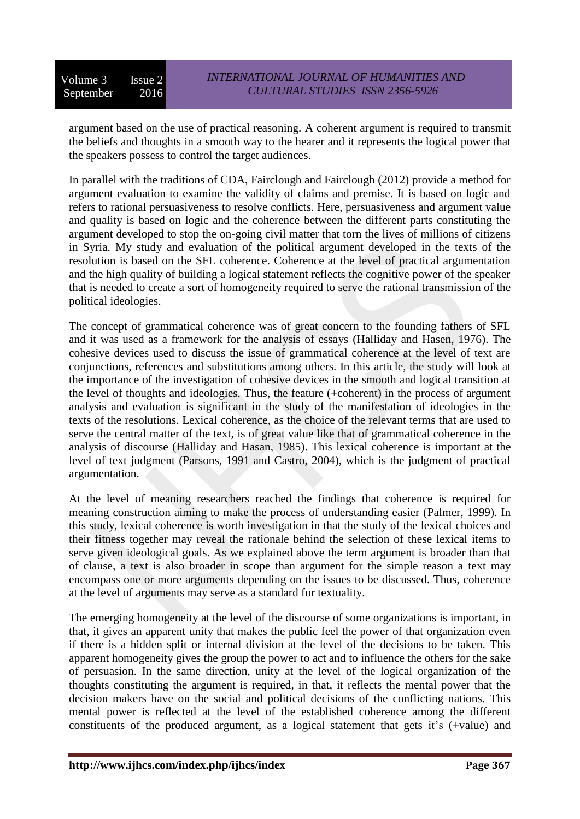argument based on the use of practical reasoning. A coherent argument is required to transmit the beliefs and thoughts in a smooth way to the hearer and it represents the logical power that the speakers possess to control the target audiences.

In parallel with the traditions of CDA, Fairclough and Fairclough (2012) provide a method for argument evaluation to examine the validity of claims and premise. It is based on logic and refers to rational persuasiveness to resolve conflicts. Here, persuasiveness and argument value and quality is based on logic and the coherence between the different parts constituting the argument developed to stop the on-going civil matter that torn the lives of millions of citizens in Syria. My study and evaluation of the political argument developed in the texts of the resolution is based on the SFL coherence. Coherence at the level of practical argumentation and the high quality of building a logical statement reflects the cognitive power of the speaker that is needed to create a sort of homogeneity required to serve the rational transmission of the political ideologies.

The concept of grammatical coherence was of great concern to the founding fathers of SFL and it was used as a framework for the analysis of essays (Halliday and Hasen, 1976). The cohesive devices used to discuss the issue of grammatical coherence at the level of text are conjunctions, references and substitutions among others. In this article, the study will look at the importance of the investigation of cohesive devices in the smooth and logical transition at the level of thoughts and ideologies. Thus, the feature (+coherent) in the process of argument analysis and evaluation is significant in the study of the manifestation of ideologies in the texts of the resolutions. Lexical coherence, as the choice of the relevant terms that are used to serve the central matter of the text, is of great value like that of grammatical coherence in the analysis of discourse (Halliday and Hasan, 1985). This lexical coherence is important at the level of text judgment (Parsons, 1991 and Castro, 2004), which is the judgment of practical argumentation.

At the level of meaning researchers reached the findings that coherence is required for meaning construction aiming to make the process of understanding easier (Palmer, 1999). In this study, lexical coherence is worth investigation in that the study of the lexical choices and their fitness together may reveal the rationale behind the selection of these lexical items to serve given ideological goals. As we explained above the term argument is broader than that of clause, a text is also broader in scope than argument for the simple reason a text may encompass one or more arguments depending on the issues to be discussed. Thus, coherence at the level of arguments may serve as a standard for textuality.

The emerging homogeneity at the level of the discourse of some organizations is important, in that, it gives an apparent unity that makes the public feel the power of that organization even if there is a hidden split or internal division at the level of the decisions to be taken. This apparent homogeneity gives the group the power to act and to influence the others for the sake of persuasion. In the same direction, unity at the level of the logical organization of the thoughts constituting the argument is required, in that, it reflects the mental power that the decision makers have on the social and political decisions of the conflicting nations. This mental power is reflected at the level of the established coherence among the different constituents of the produced argument, as a logical statement that gets it's (+value) and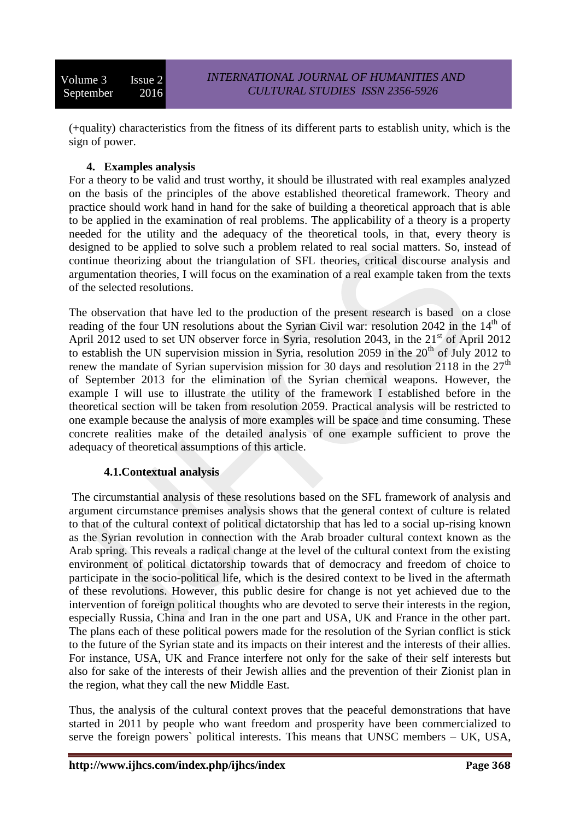(+quality) characteristics from the fitness of its different parts to establish unity, which is the sign of power.

### **4. Examples analysis**

For a theory to be valid and trust worthy, it should be illustrated with real examples analyzed on the basis of the principles of the above established theoretical framework. Theory and practice should work hand in hand for the sake of building a theoretical approach that is able to be applied in the examination of real problems. The applicability of a theory is a property needed for the utility and the adequacy of the theoretical tools, in that, every theory is designed to be applied to solve such a problem related to real social matters. So, instead of continue theorizing about the triangulation of SFL theories, critical discourse analysis and argumentation theories, I will focus on the examination of a real example taken from the texts of the selected resolutions.

The observation that have led to the production of the present research is based on a close reading of the four UN resolutions about the Syrian Civil war: resolution 2042 in the  $14<sup>th</sup>$  of April 2012 used to set UN observer force in Syria, resolution 2043, in the  $21<sup>st</sup>$  of April 2012 to establish the UN supervision mission in Syria, resolution 2059 in the  $20^{th}$  of July 2012 to renew the mandate of Syrian supervision mission for 30 days and resolution 2118 in the  $27<sup>th</sup>$ of September 2013 for the elimination of the Syrian chemical weapons. However, the example I will use to illustrate the utility of the framework I established before in the theoretical section will be taken from resolution 2059. Practical analysis will be restricted to one example because the analysis of more examples will be space and time consuming. These concrete realities make of the detailed analysis of one example sufficient to prove the adequacy of theoretical assumptions of this article.

#### **4.1.Contextual analysis**

The circumstantial analysis of these resolutions based on the SFL framework of analysis and argument circumstance premises analysis shows that the general context of culture is related to that of the cultural context of political dictatorship that has led to a social up-rising known as the Syrian revolution in connection with the Arab broader cultural context known as the Arab spring. This reveals a radical change at the level of the cultural context from the existing environment of political dictatorship towards that of democracy and freedom of choice to participate in the socio-political life, which is the desired context to be lived in the aftermath of these revolutions. However, this public desire for change is not yet achieved due to the intervention of foreign political thoughts who are devoted to serve their interests in the region, especially Russia, China and Iran in the one part and USA, UK and France in the other part. The plans each of these political powers made for the resolution of the Syrian conflict is stick to the future of the Syrian state and its impacts on their interest and the interests of their allies. For instance, USA, UK and France interfere not only for the sake of their self interests but also for sake of the interests of their Jewish allies and the prevention of their Zionist plan in the region, what they call the new Middle East.

Thus, the analysis of the cultural context proves that the peaceful demonstrations that have started in 2011 by people who want freedom and prosperity have been commercialized to serve the foreign powers` political interests. This means that UNSC members – UK, USA,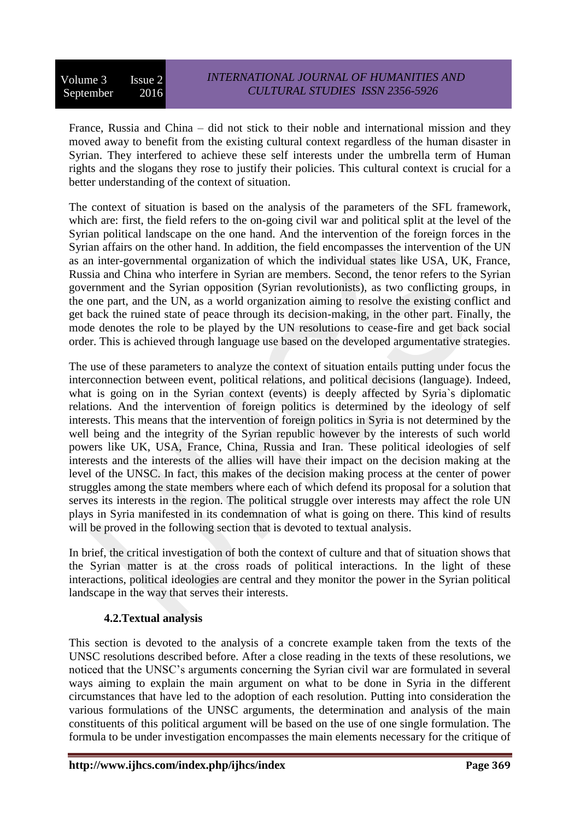France, Russia and China – did not stick to their noble and international mission and they moved away to benefit from the existing cultural context regardless of the human disaster in Syrian. They interfered to achieve these self interests under the umbrella term of Human rights and the slogans they rose to justify their policies. This cultural context is crucial for a better understanding of the context of situation.

The context of situation is based on the analysis of the parameters of the SFL framework, which are: first, the field refers to the on-going civil war and political split at the level of the Syrian political landscape on the one hand. And the intervention of the foreign forces in the Syrian affairs on the other hand. In addition, the field encompasses the intervention of the UN as an inter-governmental organization of which the individual states like USA, UK, France, Russia and China who interfere in Syrian are members. Second, the tenor refers to the Syrian government and the Syrian opposition (Syrian revolutionists), as two conflicting groups, in the one part, and the UN, as a world organization aiming to resolve the existing conflict and get back the ruined state of peace through its decision-making, in the other part. Finally, the mode denotes the role to be played by the UN resolutions to cease-fire and get back social order. This is achieved through language use based on the developed argumentative strategies.

The use of these parameters to analyze the context of situation entails putting under focus the interconnection between event, political relations, and political decisions (language). Indeed, what is going on in the Syrian context (events) is deeply affected by Syria's diplomatic relations. And the intervention of foreign politics is determined by the ideology of self interests. This means that the intervention of foreign politics in Syria is not determined by the well being and the integrity of the Syrian republic however by the interests of such world powers like UK, USA, France, China, Russia and Iran. These political ideologies of self interests and the interests of the allies will have their impact on the decision making at the level of the UNSC. In fact, this makes of the decision making process at the center of power struggles among the state members where each of which defend its proposal for a solution that serves its interests in the region. The political struggle over interests may affect the role UN plays in Syria manifested in its condemnation of what is going on there. This kind of results will be proved in the following section that is devoted to textual analysis.

In brief, the critical investigation of both the context of culture and that of situation shows that the Syrian matter is at the cross roads of political interactions. In the light of these interactions, political ideologies are central and they monitor the power in the Syrian political landscape in the way that serves their interests.

#### **4.2.Textual analysis**

This section is devoted to the analysis of a concrete example taken from the texts of the UNSC resolutions described before. After a close reading in the texts of these resolutions, we noticed that the UNSC's arguments concerning the Syrian civil war are formulated in several ways aiming to explain the main argument on what to be done in Syria in the different circumstances that have led to the adoption of each resolution. Putting into consideration the various formulations of the UNSC arguments, the determination and analysis of the main constituents of this political argument will be based on the use of one single formulation. The formula to be under investigation encompasses the main elements necessary for the critique of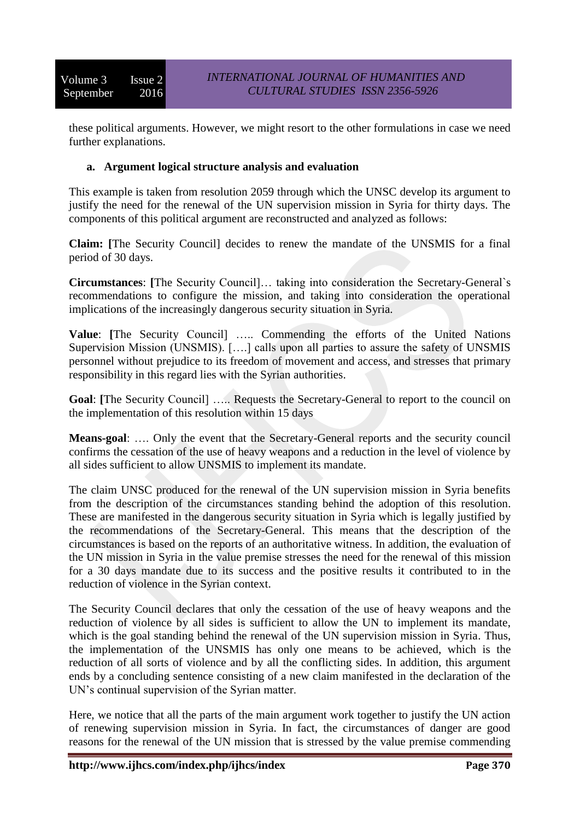these political arguments. However, we might resort to the other formulations in case we need further explanations.

#### **a. Argument logical structure analysis and evaluation**

This example is taken from resolution 2059 through which the UNSC develop its argument to justify the need for the renewal of the UN supervision mission in Syria for thirty days. The components of this political argument are reconstructed and analyzed as follows:

**Claim: [**The Security Council] decides to renew the mandate of the UNSMIS for a final period of 30 days.

**Circumstances**: **[**The Security Council]… taking into consideration the Secretary-General`s recommendations to configure the mission, and taking into consideration the operational implications of the increasingly dangerous security situation in Syria.

**Value**: **[**The Security Council] ….. Commending the efforts of the United Nations Supervision Mission (UNSMIS). [….] calls upon all parties to assure the safety of UNSMIS personnel without prejudice to its freedom of movement and access, and stresses that primary responsibility in this regard lies with the Syrian authorities.

**Goal**: **[**The Security Council] ….. Requests the Secretary-General to report to the council on the implementation of this resolution within 15 days

**Means-goal**: …. Only the event that the Secretary-General reports and the security council confirms the cessation of the use of heavy weapons and a reduction in the level of violence by all sides sufficient to allow UNSMIS to implement its mandate.

The claim UNSC produced for the renewal of the UN supervision mission in Syria benefits from the description of the circumstances standing behind the adoption of this resolution. These are manifested in the dangerous security situation in Syria which is legally justified by the recommendations of the Secretary-General. This means that the description of the circumstances is based on the reports of an authoritative witness. In addition, the evaluation of the UN mission in Syria in the value premise stresses the need for the renewal of this mission for a 30 days mandate due to its success and the positive results it contributed to in the reduction of violence in the Syrian context.

The Security Council declares that only the cessation of the use of heavy weapons and the reduction of violence by all sides is sufficient to allow the UN to implement its mandate, which is the goal standing behind the renewal of the UN supervision mission in Syria. Thus, the implementation of the UNSMIS has only one means to be achieved, which is the reduction of all sorts of violence and by all the conflicting sides. In addition, this argument ends by a concluding sentence consisting of a new claim manifested in the declaration of the UN's continual supervision of the Syrian matter.

Here, we notice that all the parts of the main argument work together to justify the UN action of renewing supervision mission in Syria. In fact, the circumstances of danger are good reasons for the renewal of the UN mission that is stressed by the value premise commending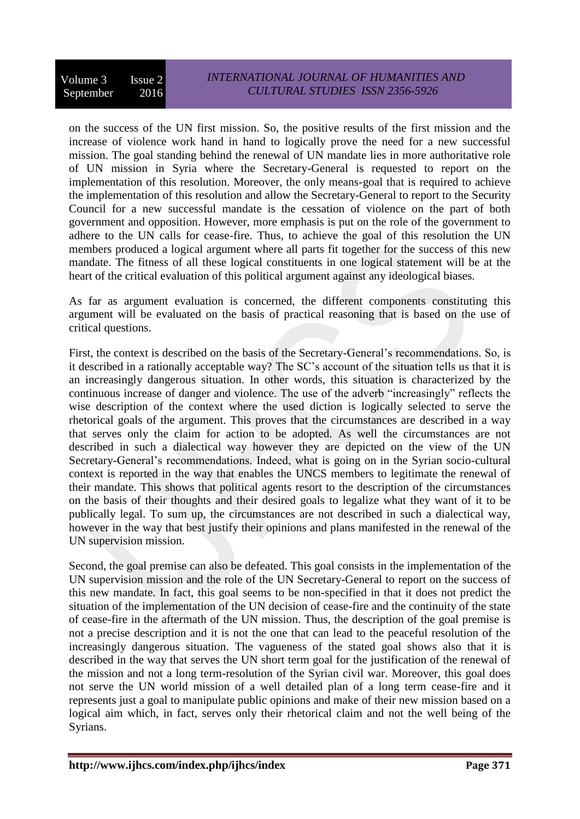on the success of the UN first mission. So, the positive results of the first mission and the increase of violence work hand in hand to logically prove the need for a new successful mission. The goal standing behind the renewal of UN mandate lies in more authoritative role of UN mission in Syria where the Secretary-General is requested to report on the implementation of this resolution. Moreover, the only means-goal that is required to achieve the implementation of this resolution and allow the Secretary-General to report to the Security Council for a new successful mandate is the cessation of violence on the part of both government and opposition. However, more emphasis is put on the role of the government to adhere to the UN calls for cease-fire. Thus, to achieve the goal of this resolution the UN members produced a logical argument where all parts fit together for the success of this new mandate. The fitness of all these logical constituents in one logical statement will be at the heart of the critical evaluation of this political argument against any ideological biases.

As far as argument evaluation is concerned, the different components constituting this argument will be evaluated on the basis of practical reasoning that is based on the use of critical questions.

First, the context is described on the basis of the Secretary-General's recommendations. So, is it described in a rationally acceptable way? The SC's account of the situation tells us that it is an increasingly dangerous situation. In other words, this situation is characterized by the continuous increase of danger and violence. The use of the adverb "increasingly" reflects the wise description of the context where the used diction is logically selected to serve the rhetorical goals of the argument. This proves that the circumstances are described in a way that serves only the claim for action to be adopted. As well the circumstances are not described in such a dialectical way however they are depicted on the view of the UN Secretary-General's recommendations. Indeed, what is going on in the Syrian socio-cultural context is reported in the way that enables the UNCS members to legitimate the renewal of their mandate. This shows that political agents resort to the description of the circumstances on the basis of their thoughts and their desired goals to legalize what they want of it to be publically legal. To sum up, the circumstances are not described in such a dialectical way, however in the way that best justify their opinions and plans manifested in the renewal of the UN supervision mission.

Second, the goal premise can also be defeated. This goal consists in the implementation of the UN supervision mission and the role of the UN Secretary-General to report on the success of this new mandate. In fact, this goal seems to be non-specified in that it does not predict the situation of the implementation of the UN decision of cease-fire and the continuity of the state of cease-fire in the aftermath of the UN mission. Thus, the description of the goal premise is not a precise description and it is not the one that can lead to the peaceful resolution of the increasingly dangerous situation. The vagueness of the stated goal shows also that it is described in the way that serves the UN short term goal for the justification of the renewal of the mission and not a long term-resolution of the Syrian civil war. Moreover, this goal does not serve the UN world mission of a well detailed plan of a long term cease-fire and it represents just a goal to manipulate public opinions and make of their new mission based on a logical aim which, in fact, serves only their rhetorical claim and not the well being of the Syrians.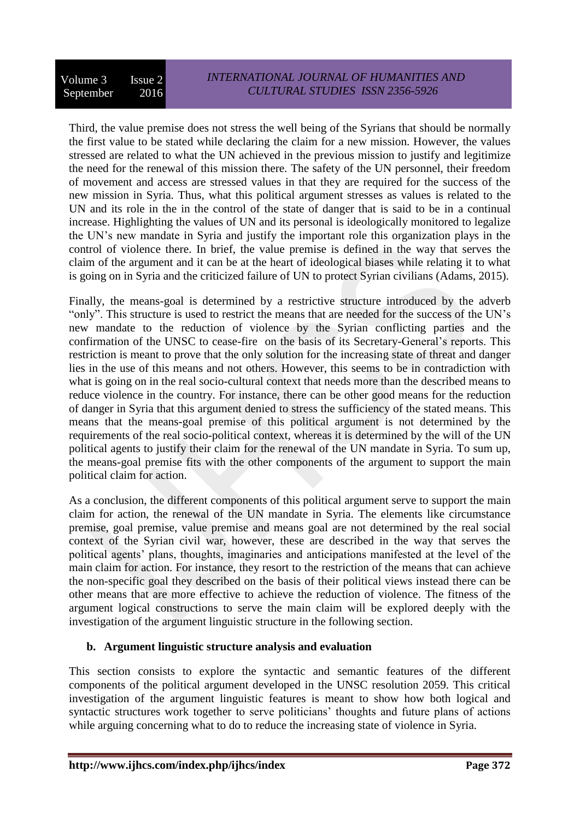Third, the value premise does not stress the well being of the Syrians that should be normally the first value to be stated while declaring the claim for a new mission. However, the values stressed are related to what the UN achieved in the previous mission to justify and legitimize the need for the renewal of this mission there. The safety of the UN personnel, their freedom of movement and access are stressed values in that they are required for the success of the new mission in Syria. Thus, what this political argument stresses as values is related to the UN and its role in the in the control of the state of danger that is said to be in a continual increase. Highlighting the values of UN and its personal is ideologically monitored to legalize the UN's new mandate in Syria and justify the important role this organization plays in the control of violence there. In brief, the value premise is defined in the way that serves the claim of the argument and it can be at the heart of ideological biases while relating it to what is going on in Syria and the criticized failure of UN to protect Syrian civilians (Adams, 2015).

Finally, the means-goal is determined by a restrictive structure introduced by the adverb "only". This structure is used to restrict the means that are needed for the success of the UN's new mandate to the reduction of violence by the Syrian conflicting parties and the confirmation of the UNSC to cease-fire on the basis of its Secretary-General's reports. This restriction is meant to prove that the only solution for the increasing state of threat and danger lies in the use of this means and not others. However, this seems to be in contradiction with what is going on in the real socio-cultural context that needs more than the described means to reduce violence in the country. For instance, there can be other good means for the reduction of danger in Syria that this argument denied to stress the sufficiency of the stated means. This means that the means-goal premise of this political argument is not determined by the requirements of the real socio-political context, whereas it is determined by the will of the UN political agents to justify their claim for the renewal of the UN mandate in Syria. To sum up, the means-goal premise fits with the other components of the argument to support the main political claim for action.

As a conclusion, the different components of this political argument serve to support the main claim for action, the renewal of the UN mandate in Syria. The elements like circumstance premise, goal premise, value premise and means goal are not determined by the real social context of the Syrian civil war, however, these are described in the way that serves the political agents' plans, thoughts, imaginaries and anticipations manifested at the level of the main claim for action. For instance, they resort to the restriction of the means that can achieve the non-specific goal they described on the basis of their political views instead there can be other means that are more effective to achieve the reduction of violence. The fitness of the argument logical constructions to serve the main claim will be explored deeply with the investigation of the argument linguistic structure in the following section.

# **b. Argument linguistic structure analysis and evaluation**

This section consists to explore the syntactic and semantic features of the different components of the political argument developed in the UNSC resolution 2059. This critical investigation of the argument linguistic features is meant to show how both logical and syntactic structures work together to serve politicians' thoughts and future plans of actions while arguing concerning what to do to reduce the increasing state of violence in Syria.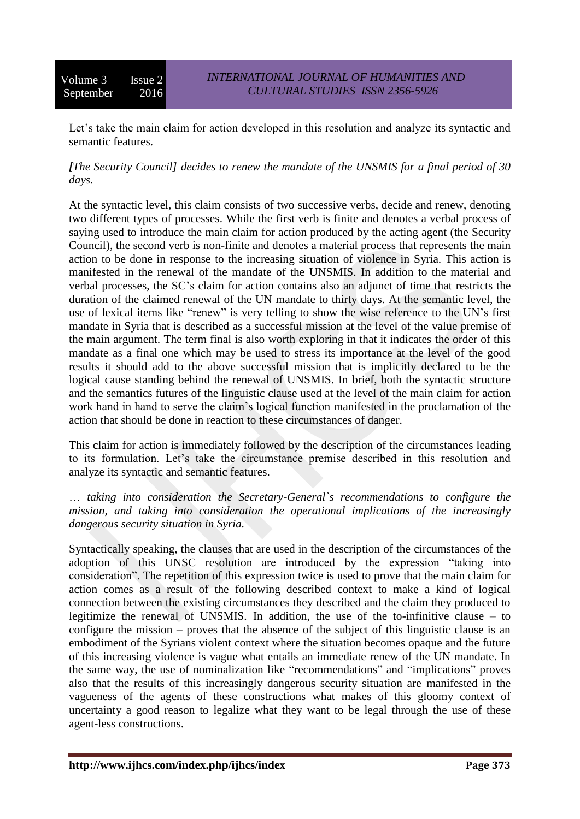Let's take the main claim for action developed in this resolution and analyze its syntactic and semantic features.

*[The Security Council] decides to renew the mandate of the UNSMIS for a final period of 30 days.*

At the syntactic level, this claim consists of two successive verbs, decide and renew, denoting two different types of processes. While the first verb is finite and denotes a verbal process of saying used to introduce the main claim for action produced by the acting agent (the Security Council), the second verb is non-finite and denotes a material process that represents the main action to be done in response to the increasing situation of violence in Syria. This action is manifested in the renewal of the mandate of the UNSMIS. In addition to the material and verbal processes, the SC's claim for action contains also an adjunct of time that restricts the duration of the claimed renewal of the UN mandate to thirty days. At the semantic level, the use of lexical items like "renew" is very telling to show the wise reference to the UN's first mandate in Syria that is described as a successful mission at the level of the value premise of the main argument. The term final is also worth exploring in that it indicates the order of this mandate as a final one which may be used to stress its importance at the level of the good results it should add to the above successful mission that is implicitly declared to be the logical cause standing behind the renewal of UNSMIS. In brief, both the syntactic structure and the semantics futures of the linguistic clause used at the level of the main claim for action work hand in hand to serve the claim's logical function manifested in the proclamation of the action that should be done in reaction to these circumstances of danger.

This claim for action is immediately followed by the description of the circumstances leading to its formulation. Let's take the circumstance premise described in this resolution and analyze its syntactic and semantic features.

… *taking into consideration the Secretary-General`s recommendations to configure the mission, and taking into consideration the operational implications of the increasingly dangerous security situation in Syria.*

Syntactically speaking, the clauses that are used in the description of the circumstances of the adoption of this UNSC resolution are introduced by the expression "taking into consideration". The repetition of this expression twice is used to prove that the main claim for action comes as a result of the following described context to make a kind of logical connection between the existing circumstances they described and the claim they produced to legitimize the renewal of UNSMIS. In addition, the use of the to-infinitive clause – to configure the mission – proves that the absence of the subject of this linguistic clause is an embodiment of the Syrians violent context where the situation becomes opaque and the future of this increasing violence is vague what entails an immediate renew of the UN mandate. In the same way, the use of nominalization like "recommendations" and "implications" proves also that the results of this increasingly dangerous security situation are manifested in the vagueness of the agents of these constructions what makes of this gloomy context of uncertainty a good reason to legalize what they want to be legal through the use of these agent-less constructions.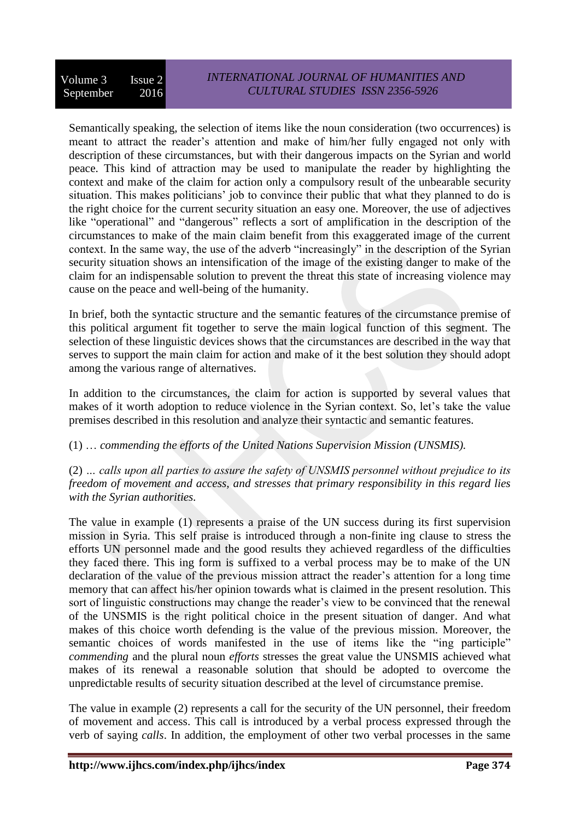Semantically speaking, the selection of items like the noun consideration (two occurrences) is meant to attract the reader's attention and make of him/her fully engaged not only with description of these circumstances, but with their dangerous impacts on the Syrian and world peace. This kind of attraction may be used to manipulate the reader by highlighting the context and make of the claim for action only a compulsory result of the unbearable security situation. This makes politicians' job to convince their public that what they planned to do is the right choice for the current security situation an easy one. Moreover, the use of adjectives like "operational" and "dangerous" reflects a sort of amplification in the description of the circumstances to make of the main claim benefit from this exaggerated image of the current context. In the same way, the use of the adverb "increasingly" in the description of the Syrian security situation shows an intensification of the image of the existing danger to make of the claim for an indispensable solution to prevent the threat this state of increasing violence may cause on the peace and well-being of the humanity.

In brief, both the syntactic structure and the semantic features of the circumstance premise of this political argument fit together to serve the main logical function of this segment. The selection of these linguistic devices shows that the circumstances are described in the way that serves to support the main claim for action and make of it the best solution they should adopt among the various range of alternatives.

In addition to the circumstances, the claim for action is supported by several values that makes of it worth adoption to reduce violence in the Syrian context. So, let's take the value premises described in this resolution and analyze their syntactic and semantic features.

# (1) … *commending the efforts of the United Nations Supervision Mission (UNSMIS).*

(2) *… calls upon all parties to assure the safety of UNSMIS personnel without prejudice to its freedom of movement and access, and stresses that primary responsibility in this regard lies with the Syrian authorities.* 

The value in example (1) represents a praise of the UN success during its first supervision mission in Syria. This self praise is introduced through a non-finite ing clause to stress the efforts UN personnel made and the good results they achieved regardless of the difficulties they faced there. This ing form is suffixed to a verbal process may be to make of the UN declaration of the value of the previous mission attract the reader's attention for a long time memory that can affect his/her opinion towards what is claimed in the present resolution. This sort of linguistic constructions may change the reader's view to be convinced that the renewal of the UNSMIS is the right political choice in the present situation of danger. And what makes of this choice worth defending is the value of the previous mission. Moreover, the semantic choices of words manifested in the use of items like the "ing participle" *commending* and the plural noun *efforts* stresses the great value the UNSMIS achieved what makes of its renewal a reasonable solution that should be adopted to overcome the unpredictable results of security situation described at the level of circumstance premise.

The value in example (2) represents a call for the security of the UN personnel, their freedom of movement and access. This call is introduced by a verbal process expressed through the verb of saying *calls*. In addition, the employment of other two verbal processes in the same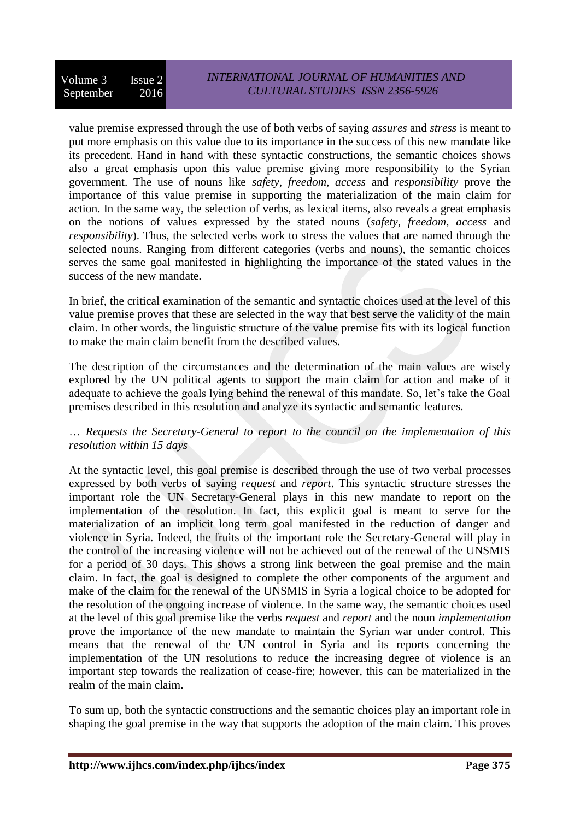value premise expressed through the use of both verbs of saying *assures* and *stress* is meant to put more emphasis on this value due to its importance in the success of this new mandate like its precedent. Hand in hand with these syntactic constructions, the semantic choices shows also a great emphasis upon this value premise giving more responsibility to the Syrian government. The use of nouns like *safety, freedom, access* and *responsibility* prove the importance of this value premise in supporting the materialization of the main claim for action. In the same way, the selection of verbs, as lexical items, also reveals a great emphasis on the notions of values expressed by the stated nouns (*safety, freedom, access* and *responsibility*). Thus, the selected verbs work to stress the values that are named through the selected nouns. Ranging from different categories (verbs and nouns), the semantic choices serves the same goal manifested in highlighting the importance of the stated values in the success of the new mandate.

In brief, the critical examination of the semantic and syntactic choices used at the level of this value premise proves that these are selected in the way that best serve the validity of the main claim. In other words, the linguistic structure of the value premise fits with its logical function to make the main claim benefit from the described values.

The description of the circumstances and the determination of the main values are wisely explored by the UN political agents to support the main claim for action and make of it adequate to achieve the goals lying behind the renewal of this mandate. So, let's take the Goal premises described in this resolution and analyze its syntactic and semantic features.

## … *Requests the Secretary-General to report to the council on the implementation of this resolution within 15 days*

At the syntactic level, this goal premise is described through the use of two verbal processes expressed by both verbs of saying *request* and *report*. This syntactic structure stresses the important role the UN Secretary-General plays in this new mandate to report on the implementation of the resolution. In fact, this explicit goal is meant to serve for the materialization of an implicit long term goal manifested in the reduction of danger and violence in Syria. Indeed, the fruits of the important role the Secretary-General will play in the control of the increasing violence will not be achieved out of the renewal of the UNSMIS for a period of 30 days. This shows a strong link between the goal premise and the main claim. In fact, the goal is designed to complete the other components of the argument and make of the claim for the renewal of the UNSMIS in Syria a logical choice to be adopted for the resolution of the ongoing increase of violence. In the same way, the semantic choices used at the level of this goal premise like the verbs *request* and *report* and the noun *implementation* prove the importance of the new mandate to maintain the Syrian war under control. This means that the renewal of the UN control in Syria and its reports concerning the implementation of the UN resolutions to reduce the increasing degree of violence is an important step towards the realization of cease-fire; however, this can be materialized in the realm of the main claim.

To sum up, both the syntactic constructions and the semantic choices play an important role in shaping the goal premise in the way that supports the adoption of the main claim. This proves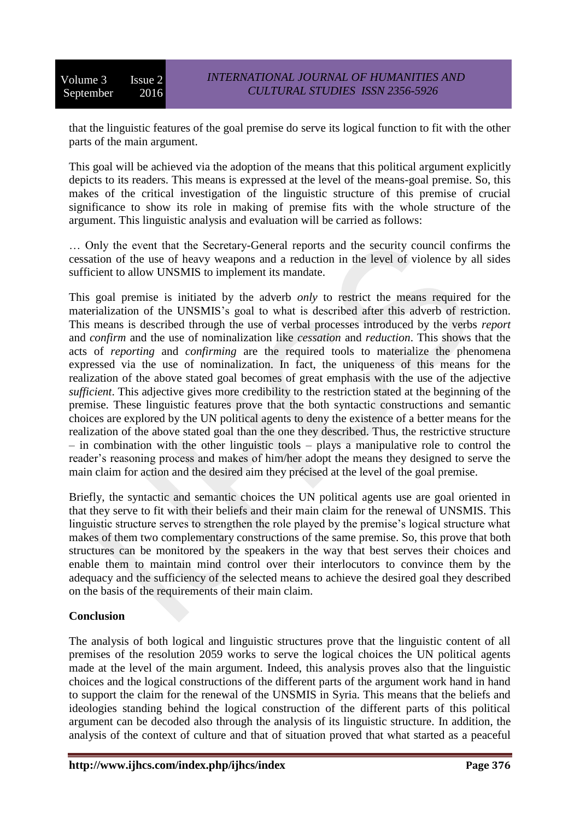that the linguistic features of the goal premise do serve its logical function to fit with the other parts of the main argument.

This goal will be achieved via the adoption of the means that this political argument explicitly depicts to its readers. This means is expressed at the level of the means-goal premise. So, this makes of the critical investigation of the linguistic structure of this premise of crucial significance to show its role in making of premise fits with the whole structure of the argument. This linguistic analysis and evaluation will be carried as follows:

… Only the event that the Secretary-General reports and the security council confirms the cessation of the use of heavy weapons and a reduction in the level of violence by all sides sufficient to allow UNSMIS to implement its mandate.

This goal premise is initiated by the adverb *only* to restrict the means required for the materialization of the UNSMIS's goal to what is described after this adverb of restriction. This means is described through the use of verbal processes introduced by the verbs *report* and *confirm* and the use of nominalization like *cessation* and *reduction*. This shows that the acts of *reporting* and *confirming* are the required tools to materialize the phenomena expressed via the use of nominalization. In fact, the uniqueness of this means for the realization of the above stated goal becomes of great emphasis with the use of the adjective *sufficient*. This adjective gives more credibility to the restriction stated at the beginning of the premise. These linguistic features prove that the both syntactic constructions and semantic choices are explored by the UN political agents to deny the existence of a better means for the realization of the above stated goal than the one they described. Thus, the restrictive structure – in combination with the other linguistic tools – plays a manipulative role to control the reader's reasoning process and makes of him/her adopt the means they designed to serve the main claim for action and the desired aim they précised at the level of the goal premise.

Briefly, the syntactic and semantic choices the UN political agents use are goal oriented in that they serve to fit with their beliefs and their main claim for the renewal of UNSMIS. This linguistic structure serves to strengthen the role played by the premise's logical structure what makes of them two complementary constructions of the same premise. So, this prove that both structures can be monitored by the speakers in the way that best serves their choices and enable them to maintain mind control over their interlocutors to convince them by the adequacy and the sufficiency of the selected means to achieve the desired goal they described on the basis of the requirements of their main claim.

#### **Conclusion**

The analysis of both logical and linguistic structures prove that the linguistic content of all premises of the resolution 2059 works to serve the logical choices the UN political agents made at the level of the main argument. Indeed, this analysis proves also that the linguistic choices and the logical constructions of the different parts of the argument work hand in hand to support the claim for the renewal of the UNSMIS in Syria. This means that the beliefs and ideologies standing behind the logical construction of the different parts of this political argument can be decoded also through the analysis of its linguistic structure. In addition, the analysis of the context of culture and that of situation proved that what started as a peaceful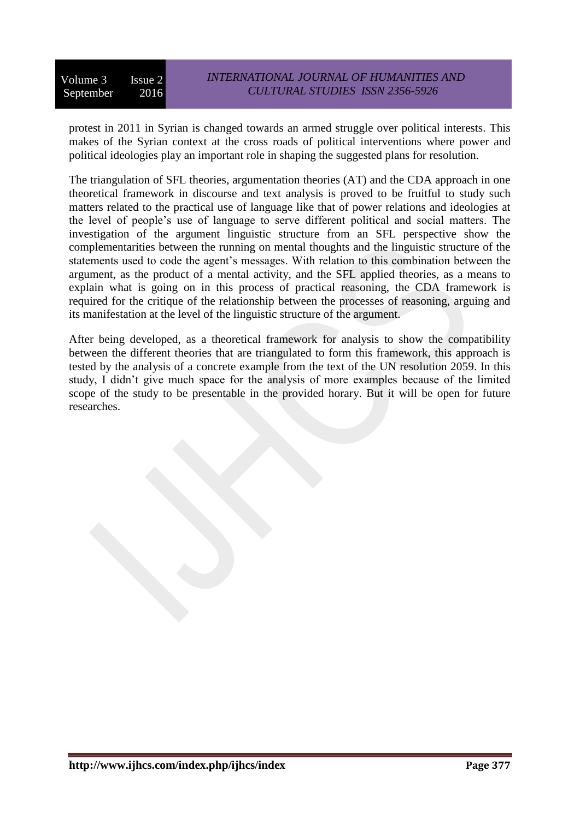protest in 2011 in Syrian is changed towards an armed struggle over political interests. This makes of the Syrian context at the cross roads of political interventions where power and political ideologies play an important role in shaping the suggested plans for resolution.

The triangulation of SFL theories, argumentation theories (AT) and the CDA approach in one theoretical framework in discourse and text analysis is proved to be fruitful to study such matters related to the practical use of language like that of power relations and ideologies at the level of people's use of language to serve different political and social matters. The investigation of the argument linguistic structure from an SFL perspective show the complementarities between the running on mental thoughts and the linguistic structure of the statements used to code the agent's messages. With relation to this combination between the argument, as the product of a mental activity, and the SFL applied theories, as a means to explain what is going on in this process of practical reasoning, the CDA framework is required for the critique of the relationship between the processes of reasoning, arguing and its manifestation at the level of the linguistic structure of the argument.

After being developed, as a theoretical framework for analysis to show the compatibility between the different theories that are triangulated to form this framework, this approach is tested by the analysis of a concrete example from the text of the UN resolution 2059. In this study, I didn't give much space for the analysis of more examples because of the limited scope of the study to be presentable in the provided horary. But it will be open for future researches.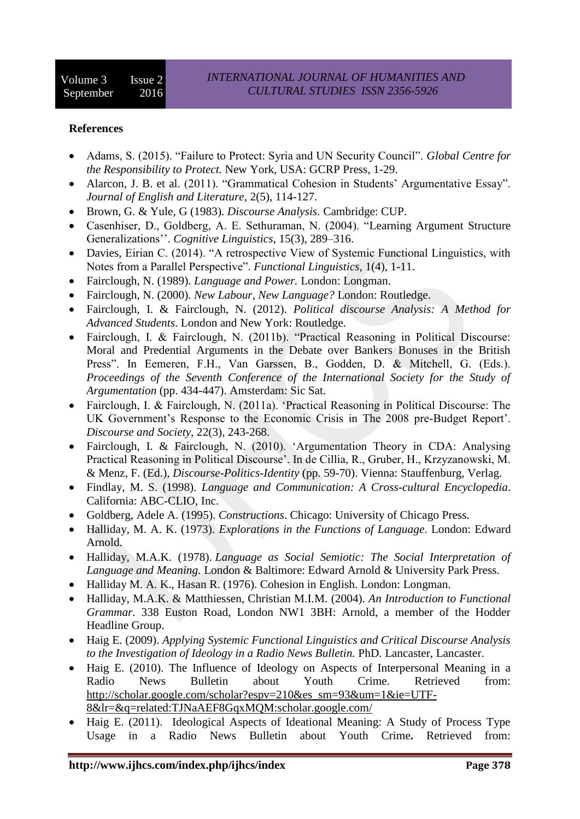## **References**

- Adams, S. (2015). "Failure to Protect: Syria and UN Security Council". *Global Centre for the Responsibility to Protect.* New York, USA: GCRP Press, 1-29.
- Alarcon, J. B. et al. (2011). "Grammatical Cohesion in Students' Argumentative Essay". *Journal of English and Literature*, 2(5), 114-127.
- Brown, G. & Yule, G (1983). *Discourse Analysis*. Cambridge: CUP.
- Casenhiser, D., Goldberg, A. E. Sethuraman, N. (2004). "Learning Argument Structure Generalizations''. *Cognitive Linguistics,* 15(3), 289–316.
- Davies, Eirian C. (2014). "A retrospective View of Systemic Functional Linguistics, with Notes from a Parallel Perspective". *Functional Linguistics,* 1(4), 1-11.
- Fairclough, N. (1989). *Language and Power.* London: Longman.
- Fairclough, N. (2000). *New Labour, New Language?* London: Routledge.
- Fairclough, I. & Fairclough, N. (2012). *Political discourse Analysis: A Method for Advanced Students*. London and New York: Routledge.
- Fairclough, I. & Fairclough, N. (2011b). "Practical Reasoning in Political Discourse: Moral and Predential Arguments in the Debate over Bankers Bonuses in the British Press". In Eemeren, F.H., Van Garssen, B., Godden, D. & Mitchell, G. (Eds.). *Proceedings of the Seventh Conference of the International Society for the Study of Argumentation* (pp. 434-447). Amsterdam: Sic Sat.
- Fairclough, I. & Fairclough, N. (2011a). 'Practical Reasoning in Political Discourse: The UK Government's Response to the Economic Crisis in The 2008 pre-Budget Report'. *Discourse and Society*, 22(3), 243-268.
- Fairclough, I. & Fairclough, N. (2010). 'Argumentation Theory in CDA: Analysing Practical Reasoning in Political Discourse'. In de Cillia, R., Gruber, H., Krzyzanowski, M. & Menz, F. (Ed.), *Discourse-Politics-Identity* (pp. 59-70). Vienna: Stauffenburg, Verlag.
- Findlay, M. S. (1998). *Language and Communication: A Cross-cultural Encyclopedia*. California: ABC-CLIO, Inc.
- Goldberg, Adele A. (1995). *Constructions*. Chicago: University of Chicago Press.
- Halliday, M. A. K. (1973). *Explorations in the Functions of Language*. London: Edward Arnold.
- Halliday, M.A.K. (1978). *Language as Social Semiotic: The Social Interpretation of Language and Meaning.* London & Baltimore: Edward Arnold & University Park Press.
- Halliday M. A. K., Hasan R. (1976). Cohesion in English. London: Longman.
- Halliday, M.A.K. & Matthiessen, Christian M.I.M. (2004). *An Introduction to Functional Grammar*. 338 Euston Road, London NW1 3BH: Arnold, a member of the Hodder Headline Group.
- Haig E. (2009). *Applying Systemic Functional Linguistics and Critical Discourse Analysis to the Investigation of Ideology in a Radio News Bulletin.* PhD. Lancaster, Lancaster.
- Haig E. (2010). The Influence of Ideology on Aspects of Interpersonal Meaning in a Radio News Bulletin about Youth Crime. Retrieved from: [http://scholar.google.com/scholar?espv=210&es\\_sm=93&um=1&ie=UTF-](http://scholar.google.com/scholar?espv=210&es_sm=93&um=1&ie=UTF-8&lr=&q=related:TJNaAEF8GqxMQM:scholar.google.com/)[8&lr=&q=related:TJNaAEF8GqxMQM:scholar.google.com/](http://scholar.google.com/scholar?espv=210&es_sm=93&um=1&ie=UTF-8&lr=&q=related:TJNaAEF8GqxMQM:scholar.google.com/)
- Haig E. (2011). [Ideological Aspects of Ideational Meaning: A Study of Process Type](http://www.lang.nagoya-u.ac.jp/media/public/mediasociety/vol3/pdf/haig.pdf)  [Usage in a Radio News Bulletin about Youth Crime](http://www.lang.nagoya-u.ac.jp/media/public/mediasociety/vol3/pdf/haig.pdf)**.** Retrieved from: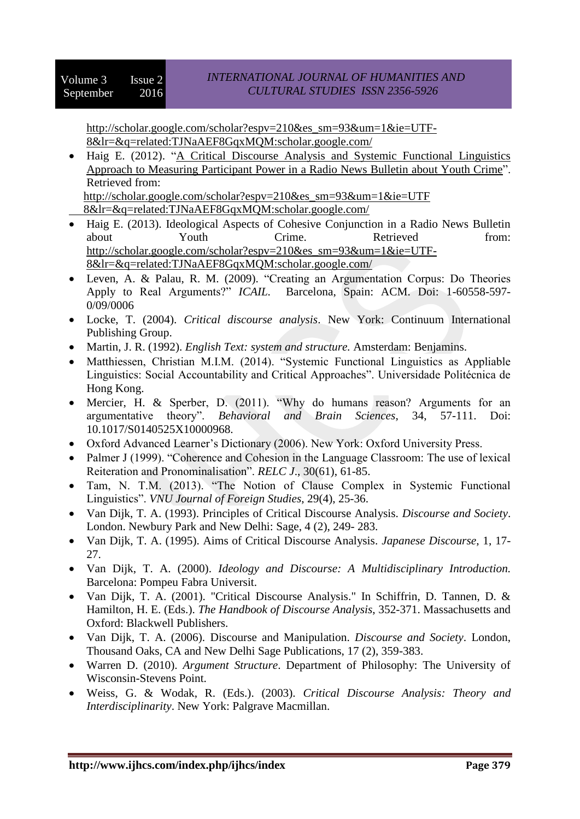[http://scholar.google.com/scholar?espv=210&es\\_sm=93&um=1&ie=UTF-](http://scholar.google.com/scholar?espv=210&es_sm=93&um=1&ie=UTF-8&lr=&q=related:TJNaAEF8GqxMQM:scholar.google.com/)[8&lr=&q=related:TJNaAEF8GqxMQM:scholar.google.com/](http://scholar.google.com/scholar?espv=210&es_sm=93&um=1&ie=UTF-8&lr=&q=related:TJNaAEF8GqxMQM:scholar.google.com/)

• Haig E. (2012). "A Critical Discourse Analysis and Systemic Functional Linguistics [Approach to Measuring Participant Power in a Radio News Bulletin about Youth Crime"](https://www.lang.nagoya-u.ac.jp/media/public/mediasociety/vol4/pdf/haig.pdf). Retrieved from:

[http://scholar.google.com/scholar?espv=210&es\\_sm=93&um=1&ie=UTF](http://scholar.google.com/scholar?espv=210&es_sm=93&um=1&ie=UTF%20%20%20%20%20%20%20%20%20%20%20%20%208&lr=&q=related:TJNaAEF8GqxMQM:scholar.google.com/)   [8&lr=&q=related:TJNaAEF8GqxMQM:scholar.google.com/](http://scholar.google.com/scholar?espv=210&es_sm=93&um=1&ie=UTF%20%20%20%20%20%20%20%20%20%20%20%20%208&lr=&q=related:TJNaAEF8GqxMQM:scholar.google.com/)

- Haig E. (2013). Ideological Aspects of Cohesive Conjunction in a Radio News Bulletin about Youth Crime. Retrieved from: [http://scholar.google.com/scholar?espv=210&es\\_sm=93&um=1&ie=UTF-](http://scholar.google.com/scholar?espv=210&es_sm=93&um=1&ie=UTF-8&lr=&q=related:TJNaAEF8GqxMQM:scholar.google.com/)[8&lr=&q=related:TJNaAEF8GqxMQM:scholar.google.com/](http://scholar.google.com/scholar?espv=210&es_sm=93&um=1&ie=UTF-8&lr=&q=related:TJNaAEF8GqxMQM:scholar.google.com/)
- Leven, A. & Palau, R. M. (2009). "Creating an Argumentation Corpus: Do Theories Apply to Real Arguments?" *ICAIL.* Barcelona, Spain: ACM. Doi: 1-60558-597- 0/09/0006
- Locke, T. (2004). *Critical discourse analysis*. New York: Continuum International Publishing Group.
- Martin, J. R. (1992). *English Text: system and structure.* Amsterdam: Benjamins.
- Matthiessen, Christian M.I.M. (2014). "Systemic Functional Linguistics as Appliable Linguistics: Social Accountability and Critical Approaches". Universidade Politécnica de Hong Kong.
- Mercier, H. & Sperber, D. (2011). "Why do humans reason? Arguments for an argumentative theory". *Behavioral and Brain Sciences*, 34, 57-111. Doi: 10.1017/S0140525X10000968.
- Oxford Advanced Learner's Dictionary (2006). New York: Oxford University Press.
- Palmer J (1999). "Coherence and Cohesion in the Language Classroom: The use of lexical Reiteration and Pronominalisation". *RELC J*., 30(61), 61-85.
- Tam, N. T.M. (2013). "The Notion of Clause Complex in Systemic Functional Linguistics". *VNU Journal of Foreign Studies*, 29(4), 25-36.
- Van Dijk, T. A. (1993). Principles of Critical Discourse Analysis. *Discourse and Society*. London. Newbury Park and New Delhi: Sage, 4 (2), 249- 283.
- Van Dijk, T. A. (1995). Aims of Critical Discourse Analysis. *Japanese Discourse*, 1, 17- 27.
- Van Dijk, T. A. (2000). *Ideology and Discourse: A Multidisciplinary Introduction.*  Barcelona: Pompeu Fabra Universit.
- Van Dijk, T. A. (2001). "Critical Discourse Analysis." In Schiffrin, D. Tannen, D. & Hamilton, H. E. (Eds.). *The Handbook of Discourse Analysis*, 352-371. Massachusetts and Oxford: Blackwell Publishers.
- Van Dijk, T. A. (2006). Discourse and Manipulation. *Discourse and Society*. London, Thousand Oaks, CA and New Delhi Sage Publications, 17 (2), 359-383.
- Warren D. (2010). *Argument Structure*. Department of Philosophy: The University of Wisconsin-Stevens Point.
- Weiss, G. & Wodak, R. (Eds.). (2003). *Critical Discourse Analysis: Theory and Interdisciplinarity*. New York: Palgrave Macmillan.